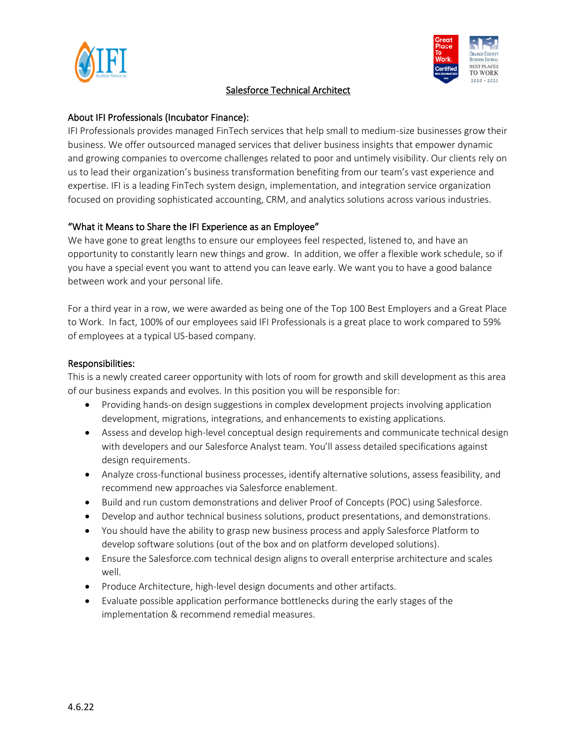

#### Salesforce Technical Architect



### About IFI Professionals (Incubator Finance):

IFI Professionals provides managed FinTech services that help small to medium-size businesses grow their business. We offer outsourced managed services that deliver business insights that empower dynamic and growing companies to overcome challenges related to poor and untimely visibility. Our clients rely on us to lead their organization's business transformation benefiting from our team's vast experience and expertise. IFI is a leading FinTech system design, implementation, and integration service organization focused on providing sophisticated accounting, CRM, and analytics solutions across various industries.

# "What it Means to Share the IFI Experience as an Employee"

We have gone to great lengths to ensure our employees feel respected, listened to, and have an opportunity to constantly learn new things and grow. In addition, we offer a flexible work schedule, so if you have a special event you want to attend you can leave early. We want you to have a good balance between work and your personal life.

For a third year in a row, we were awarded as being one of the Top 100 Best Employers and a Great Place to Work. In fact, 100% of our employees said IFI Professionals is a great place to work compared to 59% of employees at a typical US-based company.

### Responsibilities:

This is a newly created career opportunity with lots of room for growth and skill development as this area of our business expands and evolves. In this position you will be responsible for:

- Providing hands-on design suggestions in complex development projects involving application development, migrations, integrations, and enhancements to existing applications.
- Assess and develop high-level conceptual design requirements and communicate technical design with developers and our Salesforce Analyst team. You'll assess detailed specifications against design requirements.
- Analyze cross-functional business processes, identify alternative solutions, assess feasibility, and recommend new approaches via Salesforce enablement.
- Build and run custom demonstrations and deliver Proof of Concepts (POC) using Salesforce.
- Develop and author technical business solutions, product presentations, and demonstrations.
- You should have the ability to grasp new business process and apply Salesforce Platform to develop software solutions (out of the box and on platform developed solutions).
- Ensure the Salesforce.com technical design aligns to overall enterprise architecture and scales well.
- Produce Architecture, high-level design documents and other artifacts.
- Evaluate possible application performance bottlenecks during the early stages of the implementation & recommend remedial measures.